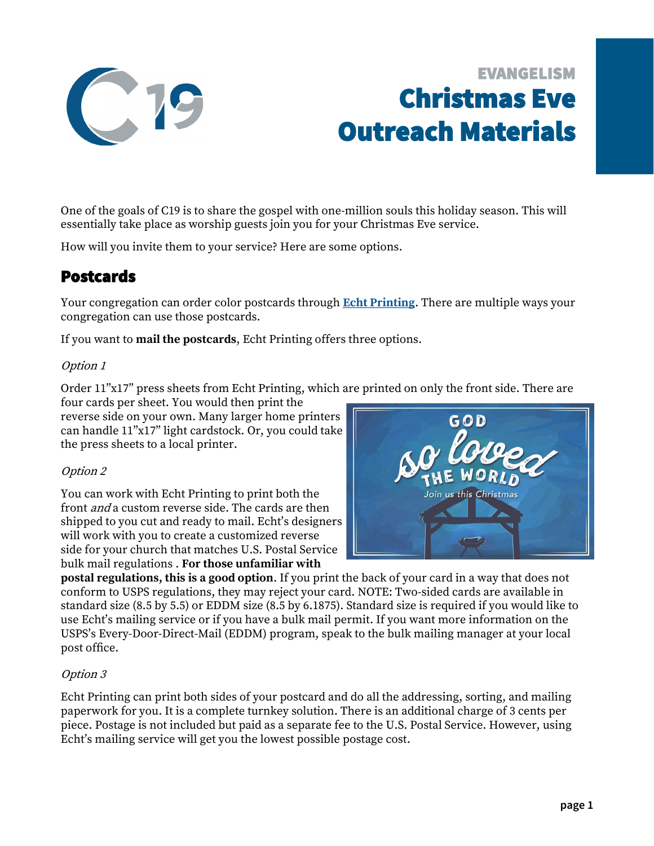

# EVANGELISM Christmas Eve Outreach Materials

One of the goals of C19 is to share the gospel with one-million souls this holiday season. This will essentially take place as worship guests join you for your Christmas Eve service.

How will you invite them to your service? Here are some options.

### Postcards

Your congregation can order color postcards through **[Echt Printing](https://www.echtprinting.com/wels-c19)**. There are multiple ways your congregation can use those postcards.

If you want to **mail the postcards**, Echt Printing offers three options.

#### Option 1

Order 11"x17" press sheets from Echt Printing, which are printed on only the front side. There are

four cards per sheet. You would then print the reverse side on your own. Many larger home printers can handle 11"x17" light cardstock. Or, you could take the press sheets to a local printer.

#### Option 2

You can work with Echt Printing to print both the front and a custom reverse side. The cards are then shipped to you cut and ready to mail. Echt's designers will work with you to create a customized reverse side for your church that matches U.S. Postal Service bulk mail regulations . **For those unfamiliar with** 



**postal regulations, this is a good option**. If you print the back of your card in a way that does not conform to USPS regulations, they may reject your card. NOTE: Two-sided cards are available in standard size (8.5 by 5.5) or EDDM size (8.5 by 6.1875). Standard size is required if you would like to use Echt's mailing service or if you have a bulk mail permit. If you want more information on the USPS's Every-Door-Direct-Mail (EDDM) program, speak to the bulk mailing manager at your local post office.

#### Option 3

Echt Printing can print both sides of your postcard and do all the addressing, sorting, and mailing paperwork for you. It is a complete turnkey solution. There is an additional charge of 3 cents per piece. Postage is not included but paid as a separate fee to the U.S. Postal Service. However, using Echt's mailing service will get you the lowest possible postage cost.